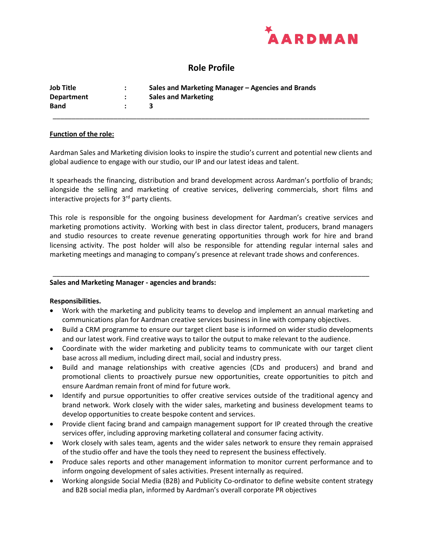

# **Role Profile**

| Job Title         | Sales and Marketing Manager – Agencies and Brands |
|-------------------|---------------------------------------------------|
| <b>Department</b> | <b>Sales and Marketing</b>                        |
| <b>Band</b>       |                                                   |
|                   |                                                   |

### **Function of the role:**

Aardman Sales and Marketing division looks to inspire the studio's current and potential new clients and global audience to engage with our studio, our IP and our latest ideas and talent.

It spearheads the financing, distribution and brand development across Aardman's portfolio of brands; alongside the selling and marketing of creative services, delivering commercials, short films and interactive projects for  $3<sup>rd</sup>$  party clients.

This role is responsible for the ongoing business development for Aardman's creative services and marketing promotions activity. Working with best in class director talent, producers, brand managers and studio resources to create revenue generating opportunities through work for hire and brand licensing activity. The post holder will also be responsible for attending regular internal sales and marketing meetings and managing to company's presence at relevant trade shows and conferences.

*\_\_\_\_\_\_\_\_\_\_\_\_\_\_\_\_\_\_\_\_\_\_\_\_\_\_\_\_\_\_\_\_\_\_\_\_\_\_\_\_\_\_\_\_\_\_\_\_\_\_\_\_\_\_\_\_\_\_\_\_\_\_\_\_\_\_\_\_\_\_\_\_\_\_\_\_\_\_\_\_\_\_\_*

### **Sales and Marketing Manager - agencies and brands:**

### **Responsibilities.**

- Work with the marketing and publicity teams to develop and implement an annual marketing and communications plan for Aardman creative services business in line with company objectives.
- Build a CRM programme to ensure our target client base is informed on wider studio developments and our latest work. Find creative ways to tailor the output to make relevant to the audience.
- Coordinate with the wider marketing and publicity teams to communicate with our target client base across all medium, including direct mail, social and industry press.
- Build and manage relationships with creative agencies (CDs and producers) and brand and promotional clients to proactively pursue new opportunities, create opportunities to pitch and ensure Aardman remain front of mind for future work.
- Identify and pursue opportunities to offer creative services outside of the traditional agency and brand network. Work closely with the wider sales, marketing and business development teams to develop opportunities to create bespoke content and services.
- Provide client facing brand and campaign management support for IP created through the creative services offer, including approving marketing collateral and consumer facing activity.
- Work closely with sales team, agents and the wider sales network to ensure they remain appraised of the studio offer and have the tools they need to represent the business effectively.
- Produce sales reports and other management information to monitor current performance and to inform ongoing development of sales activities. Present internally as required.
- Working alongside Social Media (B2B) and Publicity Co-ordinator to define website content strategy and B2B social media plan, informed by Aardman's overall corporate PR objectives